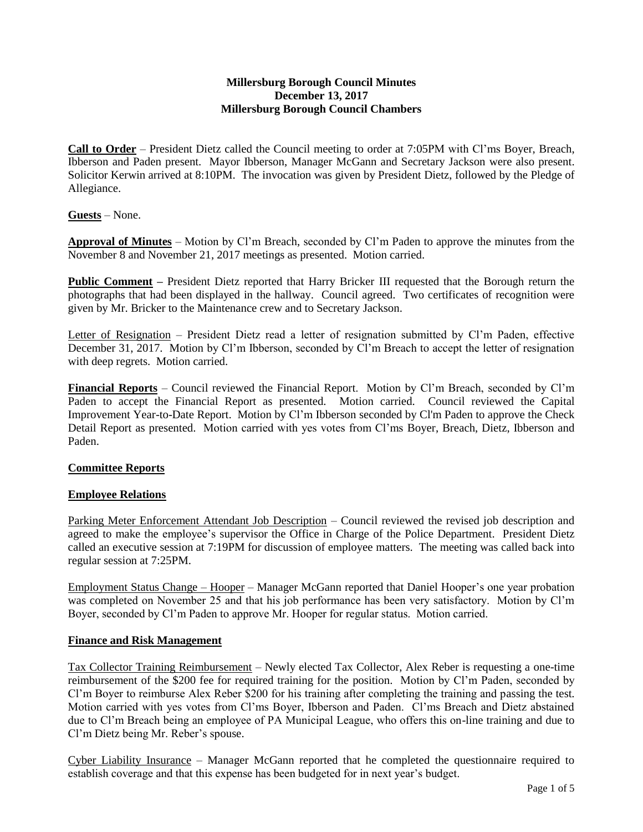## **Millersburg Borough Council Minutes December 13, 2017 Millersburg Borough Council Chambers**

**Call to Order** – President Dietz called the Council meeting to order at 7:05PM with Cl'ms Boyer, Breach, Ibberson and Paden present. Mayor Ibberson, Manager McGann and Secretary Jackson were also present. Solicitor Kerwin arrived at 8:10PM. The invocation was given by President Dietz, followed by the Pledge of Allegiance.

**Guests** – None.

**Approval of Minutes** – Motion by Cl'm Breach, seconded by Cl'm Paden to approve the minutes from the November 8 and November 21, 2017 meetings as presented. Motion carried.

**Public Comment –** President Dietz reported that Harry Bricker III requested that the Borough return the photographs that had been displayed in the hallway. Council agreed. Two certificates of recognition were given by Mr. Bricker to the Maintenance crew and to Secretary Jackson.

Letter of Resignation – President Dietz read a letter of resignation submitted by Cl'm Paden, effective December 31, 2017. Motion by Cl'm Ibberson, seconded by Cl'm Breach to accept the letter of resignation with deep regrets. Motion carried.

**Financial Reports** – Council reviewed the Financial Report. Motion by Cl'm Breach, seconded by Cl'm Paden to accept the Financial Report as presented. Motion carried. Council reviewed the Capital Improvement Year-to-Date Report. Motion by Cl'm Ibberson seconded by Cl'm Paden to approve the Check Detail Report as presented. Motion carried with yes votes from Cl'ms Boyer, Breach, Dietz, Ibberson and Paden.

# **Committee Reports**

## **Employee Relations**

Parking Meter Enforcement Attendant Job Description – Council reviewed the revised job description and agreed to make the employee's supervisor the Office in Charge of the Police Department. President Dietz called an executive session at 7:19PM for discussion of employee matters. The meeting was called back into regular session at 7:25PM.

Employment Status Change – Hooper – Manager McGann reported that Daniel Hooper's one year probation was completed on November 25 and that his job performance has been very satisfactory. Motion by Cl'm Boyer, seconded by Cl'm Paden to approve Mr. Hooper for regular status. Motion carried.

## **Finance and Risk Management**

Tax Collector Training Reimbursement – Newly elected Tax Collector, Alex Reber is requesting a one-time reimbursement of the \$200 fee for required training for the position. Motion by Cl'm Paden, seconded by Cl'm Boyer to reimburse Alex Reber \$200 for his training after completing the training and passing the test. Motion carried with yes votes from Cl'ms Boyer, Ibberson and Paden. Cl'ms Breach and Dietz abstained due to Cl'm Breach being an employee of PA Municipal League, who offers this on-line training and due to Cl'm Dietz being Mr. Reber's spouse.

Cyber Liability Insurance – Manager McGann reported that he completed the questionnaire required to establish coverage and that this expense has been budgeted for in next year's budget.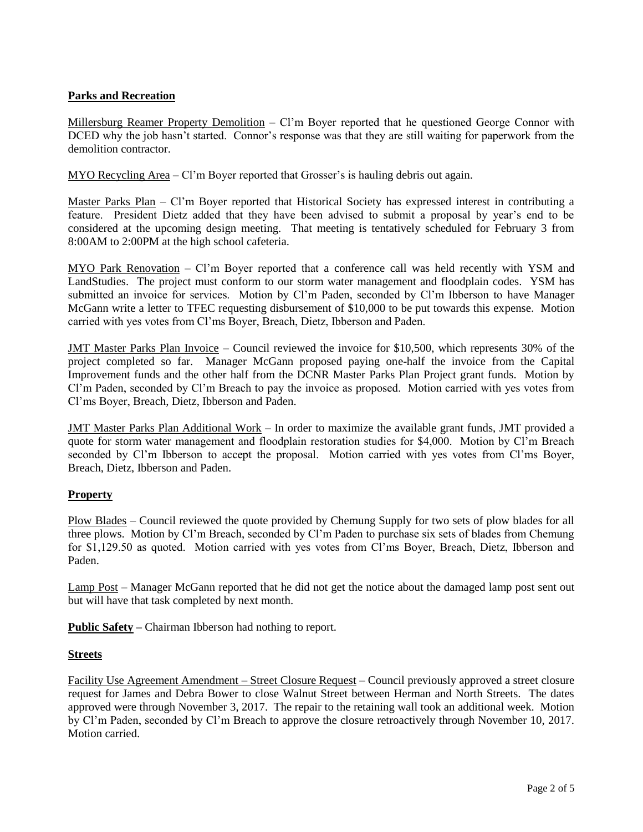# **Parks and Recreation**

Millersburg Reamer Property Demolition - Cl'm Boyer reported that he questioned George Connor with DCED why the job hasn't started. Connor's response was that they are still waiting for paperwork from the demolition contractor.

MYO Recycling Area – Cl'm Boyer reported that Grosser's is hauling debris out again.

Master Parks Plan – Cl'm Boyer reported that Historical Society has expressed interest in contributing a feature. President Dietz added that they have been advised to submit a proposal by year's end to be considered at the upcoming design meeting. That meeting is tentatively scheduled for February 3 from 8:00AM to 2:00PM at the high school cafeteria.

MYO Park Renovation – Cl'm Boyer reported that a conference call was held recently with YSM and LandStudies. The project must conform to our storm water management and floodplain codes. YSM has submitted an invoice for services. Motion by Cl'm Paden, seconded by Cl'm Ibberson to have Manager McGann write a letter to TFEC requesting disbursement of \$10,000 to be put towards this expense. Motion carried with yes votes from Cl'ms Boyer, Breach, Dietz, Ibberson and Paden.

JMT Master Parks Plan Invoice – Council reviewed the invoice for \$10,500, which represents 30% of the project completed so far. Manager McGann proposed paying one-half the invoice from the Capital Improvement funds and the other half from the DCNR Master Parks Plan Project grant funds. Motion by Cl'm Paden, seconded by Cl'm Breach to pay the invoice as proposed. Motion carried with yes votes from Cl'ms Boyer, Breach, Dietz, Ibberson and Paden.

JMT Master Parks Plan Additional Work – In order to maximize the available grant funds, JMT provided a quote for storm water management and floodplain restoration studies for \$4,000. Motion by Cl'm Breach seconded by Cl'm Ibberson to accept the proposal. Motion carried with yes votes from Cl'ms Boyer, Breach, Dietz, Ibberson and Paden.

## **Property**

Plow Blades – Council reviewed the quote provided by Chemung Supply for two sets of plow blades for all three plows. Motion by Cl'm Breach, seconded by Cl'm Paden to purchase six sets of blades from Chemung for \$1,129.50 as quoted. Motion carried with yes votes from Cl'ms Boyer, Breach, Dietz, Ibberson and Paden.

Lamp Post – Manager McGann reported that he did not get the notice about the damaged lamp post sent out but will have that task completed by next month.

**Public Safety –** Chairman Ibberson had nothing to report.

## **Streets**

Facility Use Agreement Amendment – Street Closure Request – Council previously approved a street closure request for James and Debra Bower to close Walnut Street between Herman and North Streets. The dates approved were through November 3, 2017. The repair to the retaining wall took an additional week. Motion by Cl'm Paden, seconded by Cl'm Breach to approve the closure retroactively through November 10, 2017. Motion carried.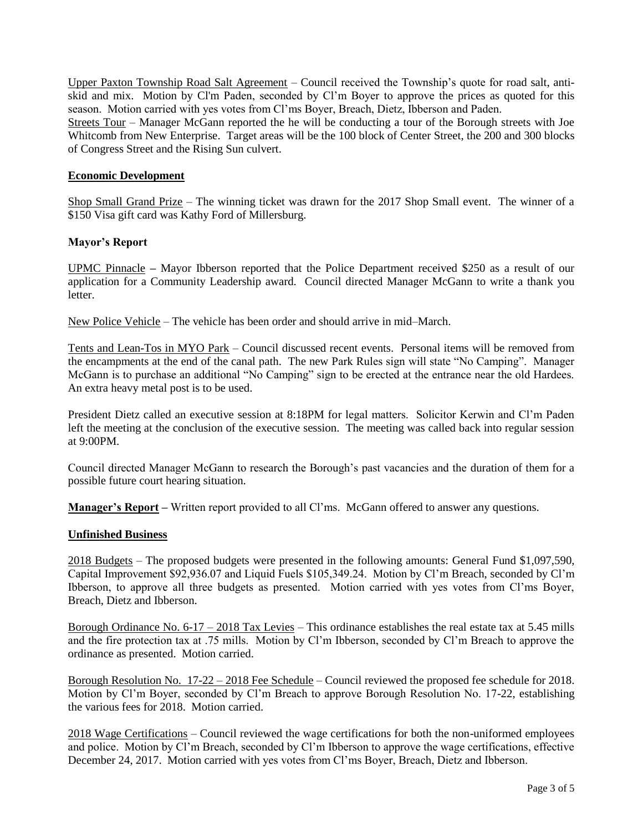Upper Paxton Township Road Salt Agreement – Council received the Township's quote for road salt, antiskid and mix. Motion by Cl'm Paden, seconded by Cl'm Boyer to approve the prices as quoted for this season. Motion carried with yes votes from Cl'ms Boyer, Breach, Dietz, Ibberson and Paden.

Streets Tour – Manager McGann reported the he will be conducting a tour of the Borough streets with Joe Whitcomb from New Enterprise. Target areas will be the 100 block of Center Street, the 200 and 300 blocks of Congress Street and the Rising Sun culvert.

## **Economic Development**

Shop Small Grand Prize – The winning ticket was drawn for the 2017 Shop Small event. The winner of a \$150 Visa gift card was Kathy Ford of Millersburg.

## **Mayor's Report**

UPMC Pinnacle **–** Mayor Ibberson reported that the Police Department received \$250 as a result of our application for a Community Leadership award. Council directed Manager McGann to write a thank you **letter** 

New Police Vehicle – The vehicle has been order and should arrive in mid–March.

Tents and Lean-Tos in MYO Park – Council discussed recent events. Personal items will be removed from the encampments at the end of the canal path. The new Park Rules sign will state "No Camping". Manager McGann is to purchase an additional "No Camping" sign to be erected at the entrance near the old Hardees. An extra heavy metal post is to be used.

President Dietz called an executive session at 8:18PM for legal matters. Solicitor Kerwin and Cl'm Paden left the meeting at the conclusion of the executive session. The meeting was called back into regular session at 9:00PM.

Council directed Manager McGann to research the Borough's past vacancies and the duration of them for a possible future court hearing situation.

**Manager's Report –** Written report provided to all Cl'ms. McGann offered to answer any questions.

## **Unfinished Business**

2018 Budgets – The proposed budgets were presented in the following amounts: General Fund \$1,097,590, Capital Improvement \$92,936.07 and Liquid Fuels \$105,349.24. Motion by Cl'm Breach, seconded by Cl'm Ibberson, to approve all three budgets as presented. Motion carried with yes votes from Cl'ms Boyer, Breach, Dietz and Ibberson.

Borough Ordinance No. 6-17 – 2018 Tax Levies – This ordinance establishes the real estate tax at 5.45 mills and the fire protection tax at .75 mills. Motion by Cl'm Ibberson, seconded by Cl'm Breach to approve the ordinance as presented. Motion carried.

Borough Resolution No. 17-22 – 2018 Fee Schedule – Council reviewed the proposed fee schedule for 2018. Motion by Cl'm Boyer, seconded by Cl'm Breach to approve Borough Resolution No. 17-22, establishing the various fees for 2018. Motion carried.

2018 Wage Certifications – Council reviewed the wage certifications for both the non-uniformed employees and police. Motion by Cl'm Breach, seconded by Cl'm Ibberson to approve the wage certifications, effective December 24, 2017. Motion carried with yes votes from Cl'ms Boyer, Breach, Dietz and Ibberson.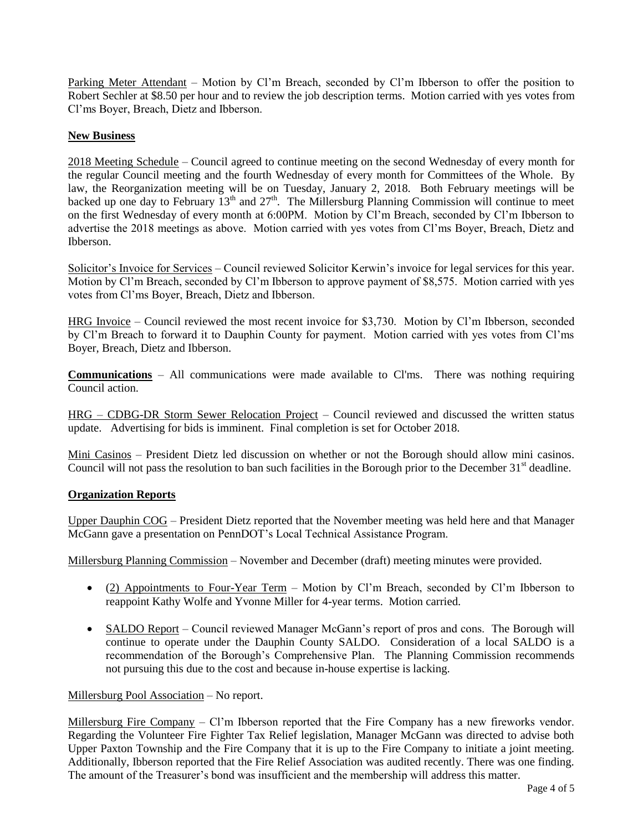Parking Meter Attendant – Motion by Cl'm Breach, seconded by Cl'm Ibberson to offer the position to Robert Sechler at \$8.50 per hour and to review the job description terms. Motion carried with yes votes from Cl'ms Boyer, Breach, Dietz and Ibberson.

## **New Business**

2018 Meeting Schedule – Council agreed to continue meeting on the second Wednesday of every month for the regular Council meeting and the fourth Wednesday of every month for Committees of the Whole. By law, the Reorganization meeting will be on Tuesday, January 2, 2018. Both February meetings will be backed up one day to February  $13<sup>th</sup>$  and  $27<sup>th</sup>$ . The Millersburg Planning Commission will continue to meet on the first Wednesday of every month at 6:00PM. Motion by Cl'm Breach, seconded by Cl'm Ibberson to advertise the 2018 meetings as above. Motion carried with yes votes from Cl'ms Boyer, Breach, Dietz and Ibberson.

Solicitor's Invoice for Services – Council reviewed Solicitor Kerwin's invoice for legal services for this year. Motion by Cl'm Breach, seconded by Cl'm Ibberson to approve payment of \$8,575. Motion carried with yes votes from Cl'ms Boyer, Breach, Dietz and Ibberson.

HRG Invoice – Council reviewed the most recent invoice for \$3,730. Motion by Cl'm Ibberson, seconded by Cl'm Breach to forward it to Dauphin County for payment. Motion carried with yes votes from Cl'ms Boyer, Breach, Dietz and Ibberson.

**Communications** – All communications were made available to Cl'ms. There was nothing requiring Council action.

HRG – CDBG-DR Storm Sewer Relocation Project – Council reviewed and discussed the written status update. Advertising for bids is imminent. Final completion is set for October 2018.

Mini Casinos – President Dietz led discussion on whether or not the Borough should allow mini casinos. Council will not pass the resolution to ban such facilities in the Borough prior to the December  $31<sup>st</sup>$  deadline.

## **Organization Reports**

Upper Dauphin COG – President Dietz reported that the November meeting was held here and that Manager McGann gave a presentation on PennDOT's Local Technical Assistance Program.

Millersburg Planning Commission – November and December (draft) meeting minutes were provided.

- (2) Appointments to Four-Year Term Motion by Cl'm Breach, seconded by Cl'm Ibberson to reappoint Kathy Wolfe and Yvonne Miller for 4-year terms. Motion carried.
- SALDO Report Council reviewed Manager McGann's report of pros and cons. The Borough will continue to operate under the Dauphin County SALDO. Consideration of a local SALDO is a recommendation of the Borough's Comprehensive Plan. The Planning Commission recommends not pursuing this due to the cost and because in-house expertise is lacking.

## Millersburg Pool Association – No report.

Millersburg Fire Company – Cl'm Ibberson reported that the Fire Company has a new fireworks vendor. Regarding the Volunteer Fire Fighter Tax Relief legislation, Manager McGann was directed to advise both Upper Paxton Township and the Fire Company that it is up to the Fire Company to initiate a joint meeting. Additionally, Ibberson reported that the Fire Relief Association was audited recently. There was one finding. The amount of the Treasurer's bond was insufficient and the membership will address this matter.